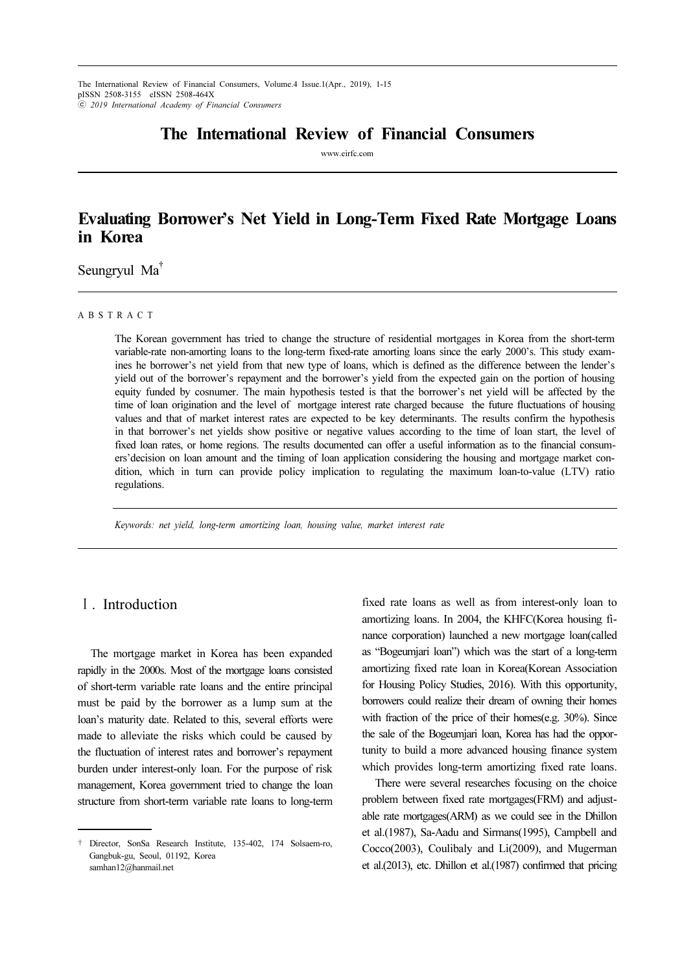# The International Review of Financial Consumers

www.eirfc.com

# Evaluating Borrower's Net Yield in Long-Term Fixed Rate Mortgage Loans in Korea

Seungryul Ma†

#### A B S T R A C T

The Korean government has tried to change the structure of residential mortgages in Korea from the short-term variable-rate non-amorting loans to the long-term fixed-rate amorting loans since the early 2000's. This study examines he borrower's net yield from that new type of loans, which is defined as the difference between the lender's yield out of the borrower's repayment and the borrower's yield from the expected gain on the portion of housing equity funded by cosnumer. The main hypothesis tested is that the borrower's net yield will be affected by the time of loan origination and the level of mortgage interest rate charged because the future fluctuations of housing values and that of market interest rates are expected to be key determinants. The results confirm the hypothesis in that borrower's net yields show positive or negative values according to the time of loan start, the level of fixed loan rates, or home regions. The results documented can offer a useful information as to the financial consumers'decision on loan amount and the timing of loan application considering the housing and mortgage market condition, which in turn can provide policy implication to regulating the maximum loan-to-value (LTV) ratio regulations.

Keywords: net yield, long-term amortizing loan, housing value, market interest rate

# Ⅰ. Introduction

The mortgage market in Korea has been expanded rapidly in the 2000s. Most of the mortgage loans consisted of short-term variable rate loans and the entire principal must be paid by the borrower as a lump sum at the loan's maturity date. Related to this, several efforts were made to alleviate the risks which could be caused by the fluctuation of interest rates and borrower's repayment burden under interest-only loan. For the purpose of risk management, Korea government tried to change the loan structure from short-term variable rate loans to long-term

fixed rate loans as well as from interest-only loan to amortizing loans. In 2004, the KHFC(Korea housing finance corporation) launched a new mortgage loan(called as "Bogeumjari loan") which was the start of a long-term amortizing fixed rate loan in Korea(Korean Association for Housing Policy Studies, 2016). With this opportunity, borrowers could realize their dream of owning their homes with fraction of the price of their homes(e.g. 30%). Since the sale of the Bogeumjari loan, Korea has had the opportunity to build a more advanced housing finance system which provides long-term amortizing fixed rate loans.

There were several researches focusing on the choice problem between fixed rate mortgages(FRM) and adjustable rate mortgages(ARM) as we could see in the Dhillon et al.(1987), Sa-Aadu and Sirmans(1995), Campbell and Cocco(2003), Coulibaly and Li(2009), and Mugerman et al.(2013), etc. Dhillon et al.(1987) confirmed that pricing

<sup>†</sup> Director, SonSa Research Institute, 135-402, 174 Solsaem-ro, Gangbuk-gu, Seoul, 01192, Korea samhan12@hanmail.net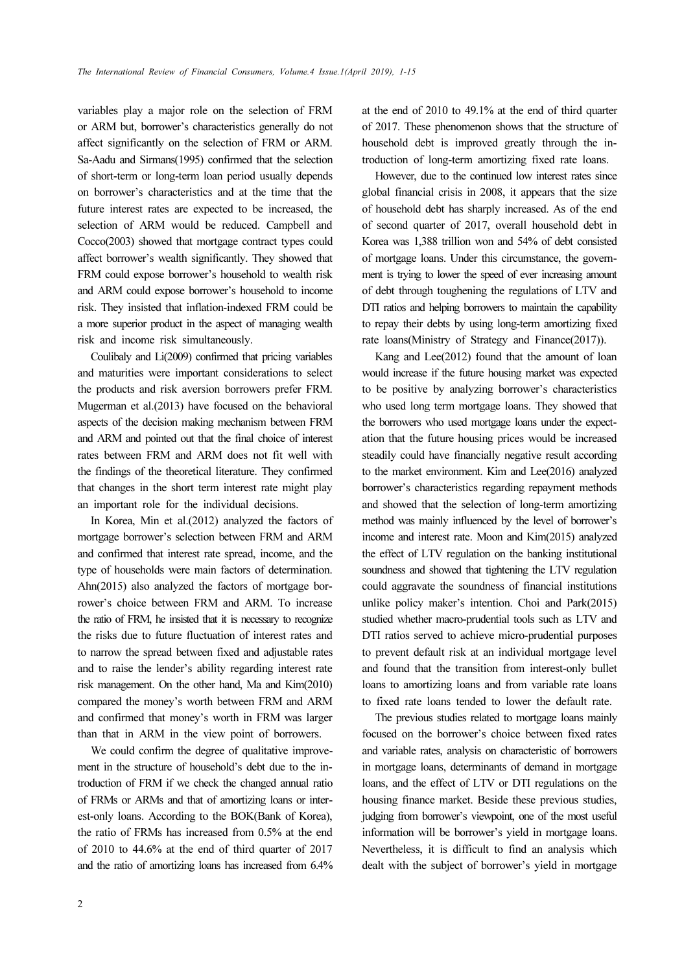variables play a major role on the selection of FRM or ARM but, borrower's characteristics generally do not affect significantly on the selection of FRM or ARM. Sa-Aadu and Sirmans(1995) confirmed that the selection of short-term or long-term loan period usually depends on borrower's characteristics and at the time that the future interest rates are expected to be increased, the selection of ARM would be reduced. Campbell and Cocco(2003) showed that mortgage contract types could affect borrower's wealth significantly. They showed that FRM could expose borrower's household to wealth risk and ARM could expose borrower's household to income risk. They insisted that inflation-indexed FRM could be a more superior product in the aspect of managing wealth risk and income risk simultaneously.

Coulibaly and Li(2009) confirmed that pricing variables and maturities were important considerations to select the products and risk aversion borrowers prefer FRM. Mugerman et al.(2013) have focused on the behavioral aspects of the decision making mechanism between FRM and ARM and pointed out that the final choice of interest rates between FRM and ARM does not fit well with the findings of the theoretical literature. They confirmed that changes in the short term interest rate might play an important role for the individual decisions.

In Korea, Min et al.(2012) analyzed the factors of mortgage borrower's selection between FRM and ARM and confirmed that interest rate spread, income, and the type of households were main factors of determination. Ahn(2015) also analyzed the factors of mortgage borrower's choice between FRM and ARM. To increase the ratio of FRM, he insisted that it is necessary to recognize the risks due to future fluctuation of interest rates and to narrow the spread between fixed and adjustable rates and to raise the lender's ability regarding interest rate risk management. On the other hand, Ma and Kim(2010) compared the money's worth between FRM and ARM and confirmed that money's worth in FRM was larger than that in ARM in the view point of borrowers.

We could confirm the degree of qualitative improvement in the structure of household's debt due to the introduction of FRM if we check the changed annual ratio of FRMs or ARMs and that of amortizing loans or interest-only loans. According to the BOK(Bank of Korea), the ratio of FRMs has increased from 0.5% at the end of 2010 to 44.6% at the end of third quarter of 2017 and the ratio of amortizing loans has increased from 6.4% at the end of 2010 to 49.1% at the end of third quarter of 2017. These phenomenon shows that the structure of household debt is improved greatly through the introduction of long-term amortizing fixed rate loans.

However, due to the continued low interest rates since global financial crisis in 2008, it appears that the size of household debt has sharply increased. As of the end of second quarter of 2017, overall household debt in Korea was 1,388 trillion won and 54% of debt consisted of mortgage loans. Under this circumstance, the government is trying to lower the speed of ever increasing amount of debt through toughening the regulations of LTV and DTI ratios and helping borrowers to maintain the capability to repay their debts by using long-term amortizing fixed rate loans(Ministry of Strategy and Finance(2017)).

Kang and Lee(2012) found that the amount of loan would increase if the future housing market was expected to be positive by analyzing borrower's characteristics who used long term mortgage loans. They showed that the borrowers who used mortgage loans under the expectation that the future housing prices would be increased steadily could have financially negative result according to the market environment. Kim and Lee(2016) analyzed borrower's characteristics regarding repayment methods and showed that the selection of long-term amortizing method was mainly influenced by the level of borrower's income and interest rate. Moon and Kim(2015) analyzed the effect of LTV regulation on the banking institutional soundness and showed that tightening the LTV regulation could aggravate the soundness of financial institutions unlike policy maker's intention. Choi and Park(2015) studied whether macro-prudential tools such as LTV and DTI ratios served to achieve micro-prudential purposes to prevent default risk at an individual mortgage level and found that the transition from interest-only bullet loans to amortizing loans and from variable rate loans to fixed rate loans tended to lower the default rate.

The previous studies related to mortgage loans mainly focused on the borrower's choice between fixed rates and variable rates, analysis on characteristic of borrowers in mortgage loans, determinants of demand in mortgage loans, and the effect of LTV or DTI regulations on the housing finance market. Beside these previous studies, judging from borrower's viewpoint, one of the most useful information will be borrower's yield in mortgage loans. Nevertheless, it is difficult to find an analysis which dealt with the subject of borrower's yield in mortgage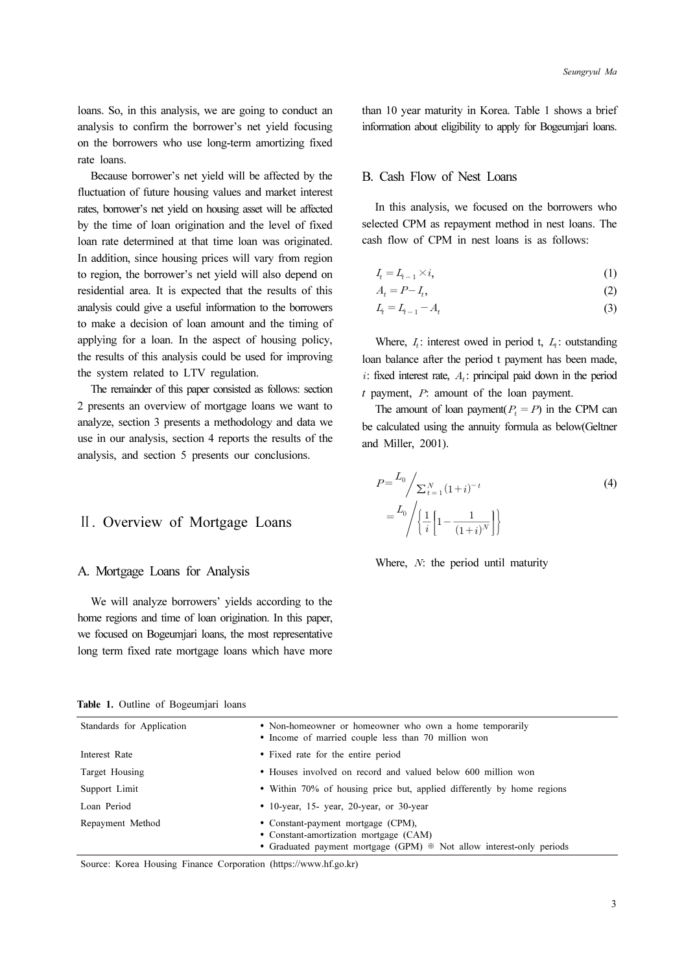loans. So, in this analysis, we are going to conduct an analysis to confirm the borrower's net yield focusing on the borrowers who use long-term amortizing fixed rate loans.

Because borrower's net yield will be affected by the fluctuation of future housing values and market interest rates, borrower's net yield on housing asset will be affected by the time of loan origination and the level of fixed loan rate determined at that time loan was originated. In addition, since housing prices will vary from region to region, the borrower's net yield will also depend on residential area. It is expected that the results of this analysis could give a useful information to the borrowers to make a decision of loan amount and the timing of applying for a loan. In the aspect of housing policy, the results of this analysis could be used for improving the system related to LTV regulation.

The remainder of this paper consisted as follows: section 2 presents an overview of mortgage loans we want to analyze, section 3 presents a methodology and data we use in our analysis, section 4 reports the results of the analysis, and section 5 presents our conclusions.

### Ⅱ. Overview of Mortgage Loans

#### A. Mortgage Loans for Analysis

We will analyze borrowers' yields according to the home regions and time of loan origination. In this paper, we focused on Bogeumjari loans, the most representative long term fixed rate mortgage loans which have more than 10 year maturity in Korea. Table 1 shows a brief information about eligibility to apply for Bogeumjari loans.

### B. Cash Flow of Nest Loans

In this analysis, we focused on the borrowers who selected CPM as repayment method in nest loans. The cash flow of CPM in nest loans is as follows:

$$
I_t = L_{t-1} \times i,\tag{1}
$$

$$
A_t = P - I_t,\tag{2}
$$

$$
L_t = L_{t-1} - A_t \tag{3}
$$

Where,  $I_i$ : interest owed in period t,  $I_i$ : outstanding loan balance after the period t payment has been made,  $i$ : fixed interest rate,  $A_i$ : principal paid down in the period  $t$  payment,  $P$ : amount of the loan payment. aturity in Kanada<br>
it eligibility to<br>
y of Nest I<br>
ysis, we foculas repayment<br>
CPM in nest<br>
.<br>
A<sub>t</sub><br>
.<br>
A<sub>t</sub><br>
.<br>
there the period<br>
rate,  $A_t$ : prin<br>
amount of 1<br>
of loan paym<br>
ing the amu<br>
01).<br>  $\left[1 + i\right]^{-t}$ <br>  $\left[1 - \frac{1$ 

The amount of loan payment( $P<sub>t</sub> = P$ ) in the CPM can be calculated using the annuity formula as below(Geltner and Miller, 2001).

$$
I_{t} = L_{t-1} \times i,
$$
\n(1)  
\n
$$
A_{t} = P - I_{t},
$$
\n(2)  
\nWhere,  $I_{t}$ : interest owed in period t,  $L_{t}$ : outstanding  
\nn balance after the period t payment has been made,  
\nfixed interest rate,  $A_{t}$ : principal paid down in the period  
\nayment,  $P$ : amount of the loan payment.  
\nThe amount of loan payment( $P_{t} = P$ ) in the CPM can  
\ncalculated using the annuity formula as below(Gelther  
\n1 Miller, 2001).  
\n
$$
P = \frac{L_{0}}{\sum_{t=1}^{N} (1+i)^{-t}} \qquad (4)
$$
\n
$$
= \frac{L_{0}}{\sqrt{\frac{1}{i} \left[1 - \frac{1}{(1+i)^{N}}\right]}}.
$$

Where,  $N$ : the period until maturity

|  |  | Table 1. Outline of Bogeumjari loans |  |
|--|--|--------------------------------------|--|
|  |  |                                      |  |

| Standards for Application | • Non-homeowner or homeowner who own a home temporarily<br>• Income of married couple less than 70 million won                                       |
|---------------------------|------------------------------------------------------------------------------------------------------------------------------------------------------|
| Interest Rate             | • Fixed rate for the entire period                                                                                                                   |
| Target Housing            | • Houses involved on record and valued below 600 million won                                                                                         |
| Support Limit             | • Within 70% of housing price but, applied differently by home regions                                                                               |
| Loan Period               | $\bullet$ 10-year, 15-year, 20-year, or 30-year                                                                                                      |
| Repayment Method          | • Constant-payment mortgage (CPM),<br>• Constant-amortization mortgage (CAM)<br>• Graduated payment mortgage (GPM) * Not allow interest-only periods |

Source: Korea Housing Finance Corporation (https://www.hf.go.kr)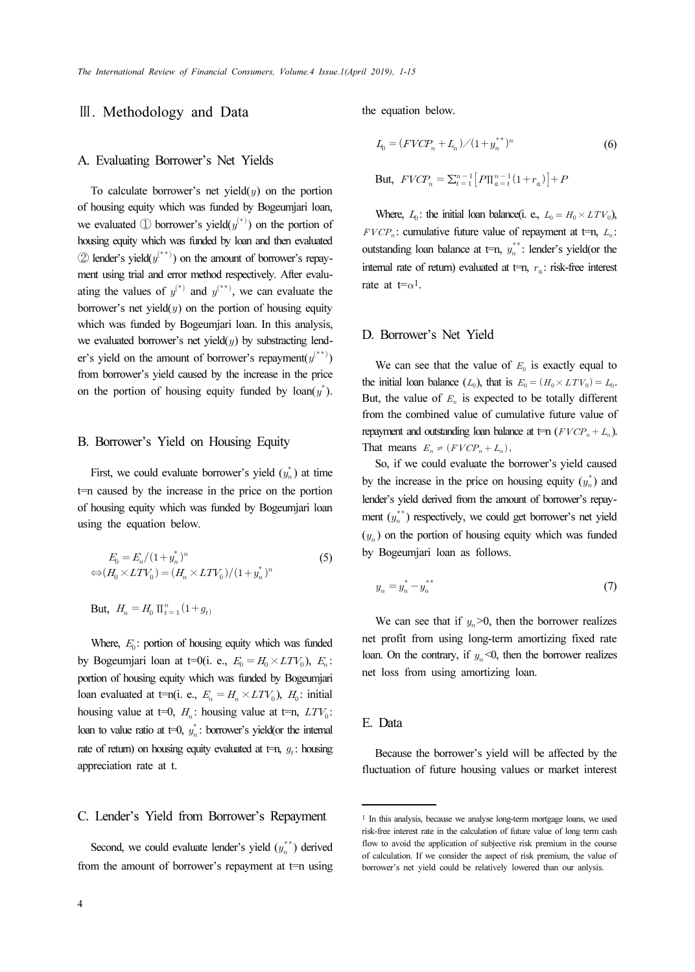### Ⅲ. Methodology and Data

#### A. Evaluating Borrower's Net Yields

To calculate borrower's net yield $(y)$  on the portion of housing equity which was funded by Bogeumjari loan, we evaluated  $\mathbb D$  borrower's yield $(y^{(*)})$  on the portion of housing equity which was funded by loan and then evaluated  $\textcircled{2}$  lender's yield $(y^{(**)})$  on the amount of borrower's repayment using trial and error method respectively. After evaluating the values of  $y^{(*)}$  and  $y^{(**)}$ , we can evaluate the borrower's net yield $(y)$  on the portion of housing equity which was funded by Bogeumjari loan. In this analysis, we evaluated borrower's net yield $(y)$  by substracting lender's yield on the amount of borrower's repayment $(y^{(**)})$ from borrower's yield caused by the increase in the price on the portion of housing equity funded by  $\text{loan}(y^*)$ .

#### B. Borrower's Yield on Housing Equity

But,  $H_n = H_0 \prod_{t=1}^n (1 + g_t)$ 

First, we could evaluate borrower's yield  $(y_n^*)$  at time t=n caused by the increase in the price on the portion of housing equity which was funded by Bogeumjari loan using the equation below.

$$
E_0 = E_n / (1 + y_n^*)^n
$$
  
\n
$$
\Leftrightarrow (H_0 \times LTV_0) = (H_n \times LTV_0) / (1 + y_n^*)^n
$$
\n(5)

Where,  $E_0$ : portion of housing equity which was funded by Bogeumjari loan at t=0(i. e.,  $E_0 = H_0 \times LTV_0$ ),  $E_n$ : portion of housing equity which was funded by Bogeumjari loan evaluated at t=n(i. e.,  $E_n = H_n \times LTV_0$ ),  $H_0$ : initial housing value at t=0,  $H_n$ : housing value at t=n,  $LTV_0$ : loan to value ratio at  $t=0$ ,  $y_n^*$ : borrower's yield(or the internal rate of return) on housing equity evaluated at  $t=n$ ,  $q_t$ : housing appreciation rate at t.

### C. Lender's Yield from Borrower's Repayment

Second, we could evaluate lender's yield  $(y_n^{**})$  derived from the amount of borrower's repayment at  $t=n$  using

the equation below.

$$
L_0 = (FVCP_n + L_n) / (1 + y_n^{**})^n
$$
\nBut,  $FVCP_n = \sum_{t=1}^{n-1} [P\Pi_{\mathfrak{a}=t}^{n-1}(1+r_{\mathfrak{a}})] + P$ 

Where,  $L_0$ : the initial loan balance(i. e.,  $L_0 = H_0 \times LTV_0$ ),  $FVCP_n$ : cumulative future value of repayment at t=n,  $L_n$ : outstanding loan balance at  $t=n$ ,  $y_n^{**}$ : lender's yield(or the internal rate of return) evaluated at  $t=n$ ,  $r<sub>a</sub>$ : risk-free interest rate at  $t = \alpha^1$ .

#### D. Borrower's Net Yield

We can see that the value of  $E_0$  is exactly equal to the initial loan balance  $(L_0)$ , that is  $E_0 = (H_0 \times LTV_0) = L_0$ . But, the value of  $E_n$  is expected to be totally different from the combined value of cumulative future value of repayment and outstanding loan balance at  $\text{t=n } (FVCP_n + L_n)$ . That means  $E_n \neq (FVCP_n + L_n)$ .

So, if we could evaluate the borrower's yield caused by the increase in the price on housing equity  $(y_n^*)$  and lender's yield derived from the amount of borrower's repayment  $(y_n^{**})$  respectively, we could get borrower's net yield  $(y_n)$  on the portion of housing equity which was funded by Bogeumjari loan as follows.

$$
y_n = y_n^* - y_n^{**}
$$
 (7)

We can see that if  $y_n > 0$ , then the borrower realizes net profit from using long-term amortizing fixed rate loan. On the contrary, if  $y_n \leq 0$ , then the borrower realizes net loss from using amortizing loan.

#### E. Data

Because the borrower's yield will be affected by the fluctuation of future housing values or market interest

<sup>1</sup> In this analysis, because we analyse long-term mortgage loans, we used risk-free interest rate in the calculation of future value of long term cash flow to avoid the application of subjective risk premium in the course of calculation. If we consider the aspect of risk premium, the value of borrower's net yield could be relatively lowered than our anlysis.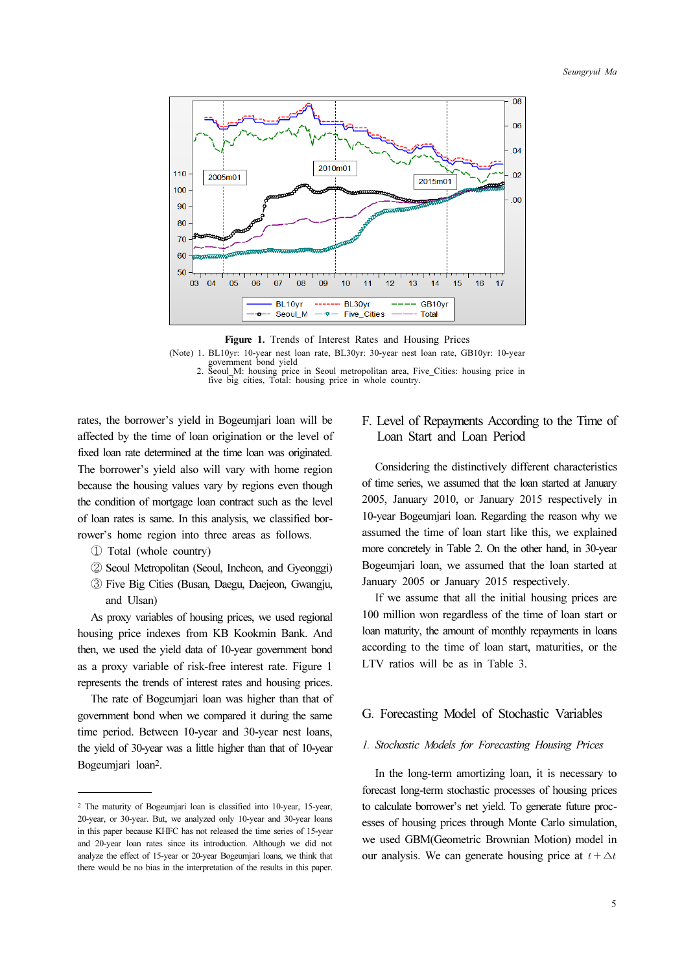

Figure 1. Trends of Interest Rates and Housing Prices<br>(Note) 1. BL10yr: 10-year nest loan rate, BL30yr: 30-year nest loan rate, GB10yr: 10-year (Note) 1. BL10yr: 10-year nest loan rate, BL30yr: 30-year nest loan rate, GB10yr: 10-year government bond yield 2. Seoul\_M: housing price in Seoul metropolitan area, Five\_Cities: housing price in

five big cities, Total: housing price in whole country.

rates, the borrower's yield in Bogeumjari loan will be affected by the time of loan origination or the level of fixed loan rate determined at the time loan was originated. The borrower's yield also will vary with home region because the housing values vary by regions even though the condition of mortgage loan contract such as the level of loan rates is same. In this analysis, we classified borrower's home region into three areas as follows.

- ① Total (whole country)
- ② Seoul Metropolitan (Seoul, Incheon, and Gyeonggi)
- ③ Five Big Cities (Busan, Daegu, Daejeon, Gwangju, and Ulsan)

As proxy variables of housing prices, we used regional housing price indexes from KB Kookmin Bank. And then, we used the yield data of 10-year government bond as a proxy variable of risk-free interest rate. Figure 1 represents the trends of interest rates and housing prices.

The rate of Bogeumjari loan was higher than that of government bond when we compared it during the same time period. Between 10-year and 30-year nest loans, the yield of 30-year was a little higher than that of 10-year Bogeumjari loan2.

# F. Level of Repayments According to the Time of Loan Start and Loan Period

Considering the distinctively different characteristics of time series, we assumed that the loan started at January 2005, January 2010, or January 2015 respectively in 10-year Bogeumjari loan. Regarding the reason why we assumed the time of loan start like this, we explained more concretely in Table 2. On the other hand, in 30-year Bogeumjari loan, we assumed that the loan started at January 2005 or January 2015 respectively.

If we assume that all the initial housing prices are 100 million won regardless of the time of loan start or loan maturity, the amount of monthly repayments in loans according to the time of loan start, maturities, or the LTV ratios will be as in Table 3.

#### G. Forecasting Model of Stochastic Variables

#### 1. Stochastic Models for Forecasting Housing Prices

In the long-term amortizing loan, it is necessary to forecast long-term stochastic processes of housing prices to calculate borrower's net yield. To generate future processes of housing prices through Monte Carlo simulation, we used GBM(Geometric Brownian Motion) model in our analysis. We can generate housing price at  $t + \Delta t$ 

<sup>2</sup> The maturity of Bogeumjari loan is classified into 10-year, 15-year, 20-year, or 30-year. But, we analyzed only 10-year and 30-year loans in this paper because KHFC has not released the time series of 15-year and 20-year loan rates since its introduction. Although we did not analyze the effect of 15-year or 20-year Bogeumjari loans, we think that there would be no bias in the interpretation of the results in this paper.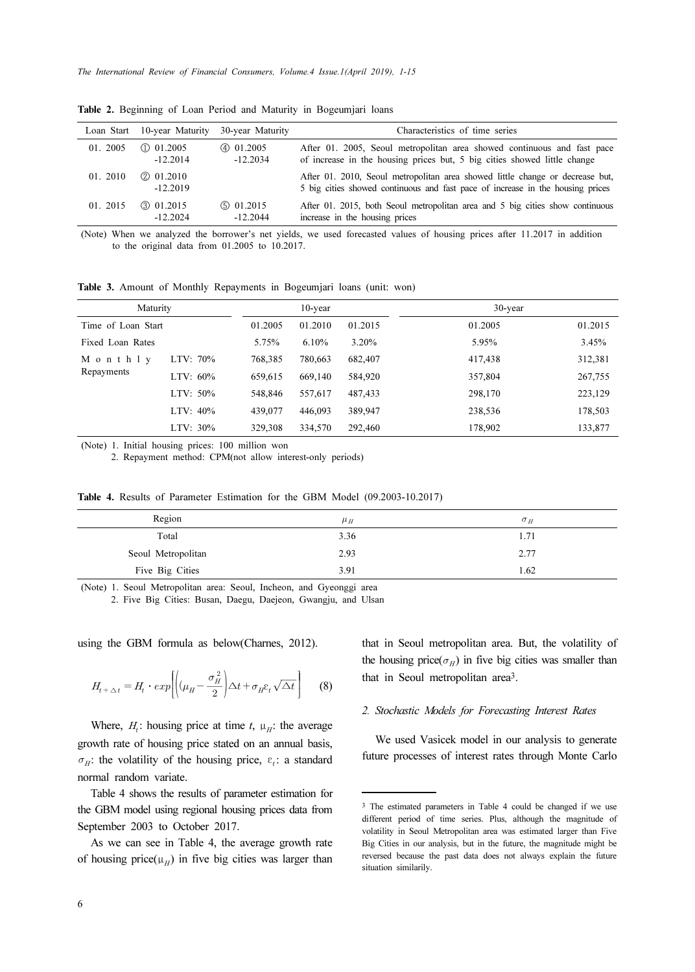|          | Loan Start 10-year Maturity | 30-year Maturity | Characteristics of time series                                                                                                                                  |
|----------|-----------------------------|------------------|-----------------------------------------------------------------------------------------------------------------------------------------------------------------|
| 01. 2005 | (D 01.2005)                 | $(4)$ 01.2005    | After 01. 2005, Seoul metropolitan area showed continuous and fast pace                                                                                         |
|          | $-12.2014$                  | $-12.2034$       | of increase in the housing prices but, 5 big cities showed little change                                                                                        |
| 01. 2010 | $(2)$ 01.2010<br>$-12.2019$ |                  | After 01. 2010, Seoul metropolitan area showed little change or decrease but,<br>5 big cities showed continuous and fast pace of increase in the housing prices |
| 01. 2015 | $(3)$ 01.2015               | $(5)$ 01.2015    | After 01. 2015, both Seoul metropolitan area and 5 big cities show continuous                                                                                   |
|          | $-12.2024$                  | $-12.2044$       | increase in the housing prices                                                                                                                                  |

Table 2. Beginning of Loan Period and Maturity in Bogeumjari loans

Table 3. Amount of Monthly Repayments in Bogeumjari loans (unit: won)

| 01.2010                                                                                                                           | 2 01.2010<br>$-12.2019$                                                                                                                                          |                                     |         |                                | After 01. 2010, Seoul metropolitan area showed little change or decrease but,<br>5 big cities showed continuous and fast pace of increase in the housing prices |         |
|-----------------------------------------------------------------------------------------------------------------------------------|------------------------------------------------------------------------------------------------------------------------------------------------------------------|-------------------------------------|---------|--------------------------------|-----------------------------------------------------------------------------------------------------------------------------------------------------------------|---------|
| 01. 2015                                                                                                                          | <b>301.2015</b><br>$-12.2024$                                                                                                                                    | $\circled{0}$ 01.2015<br>$-12.2044$ |         | increase in the housing prices | After 01. 2015, both Seoul metropolitan area and 5 big cities show continuous                                                                                   |         |
| Table 3. Amount of Monthly Repayments in Bogeumjari loans (unit: won)                                                             | to the original data from $01.2005$ to $10.2017$ .                                                                                                               |                                     |         |                                | (Note) When we analyzed the borrower's net yields, we used forecasted values of housing prices after 11.2017 in addition                                        |         |
| Maturity                                                                                                                          |                                                                                                                                                                  |                                     | 10-year |                                | 30-year                                                                                                                                                         |         |
| Time of Loan Start                                                                                                                |                                                                                                                                                                  | 01.2005                             | 01.2010 | 01.2015                        | 01.2005                                                                                                                                                         | 01.2015 |
| Fixed Loan Rates                                                                                                                  |                                                                                                                                                                  | 5.75%                               | 6.10%   | 3.20%                          | 5.95%                                                                                                                                                           | 3.45%   |
| M o n t h 1 y                                                                                                                     | LTV: 70%                                                                                                                                                         | 768,385                             | 780,663 | 682,407                        | 417,438                                                                                                                                                         | 312,381 |
| Repayments                                                                                                                        | LTV: $60\%$                                                                                                                                                      | 659,615                             | 669,140 | 584,920                        | 357,804                                                                                                                                                         | 267,755 |
|                                                                                                                                   | LTV: 50%                                                                                                                                                         | 548,846                             | 557,617 | 487,433                        | 298,170                                                                                                                                                         | 223,129 |
|                                                                                                                                   | LTV: 40%                                                                                                                                                         | 439,077                             | 446,093 | 389,947                        | 238,536                                                                                                                                                         | 178,503 |
|                                                                                                                                   | LTV: 30%                                                                                                                                                         | 329,308                             | 334,570 | 292,460                        | 178,902                                                                                                                                                         | 133,877 |
| (Note) 1. Initial housing prices: 100 million won<br>Table 4. Results of Parameter Estimation for the GBM Model (09.2003-10.2017) | 2. Repayment method: CPM(not allow interest-only periods)                                                                                                        |                                     |         |                                |                                                                                                                                                                 |         |
|                                                                                                                                   | Region                                                                                                                                                           |                                     |         | $\mu$ <sub>H</sub>             | $\sigma_H$                                                                                                                                                      |         |
|                                                                                                                                   | Total                                                                                                                                                            |                                     |         | 3.36                           | 1.71                                                                                                                                                            |         |
|                                                                                                                                   | Seoul Metropolitan                                                                                                                                               |                                     |         | 2.93                           | 2.77                                                                                                                                                            |         |
|                                                                                                                                   | Five Big Cities                                                                                                                                                  |                                     |         | 3.91                           | 1.62                                                                                                                                                            |         |
| (Note) 1. Seoul Metropolitan area: Seoul, Incheon, and Gyeonggi area                                                              | 2. Five Big Cities: Busan, Daegu, Daejeon, Gwangju, and Ulsan                                                                                                    |                                     |         |                                |                                                                                                                                                                 |         |
| using the GBM formula as below (Charnes, 2012).                                                                                   |                                                                                                                                                                  |                                     |         |                                | that in Seoul metropolitan area. But, the volatility of                                                                                                         |         |
|                                                                                                                                   | $H_{\boldsymbol{t}+\Delta t}=H_{\boldsymbol{t}}\cdot exp\biggl \biggl((\mu_H-\frac{\sigma_H^{\,2}}{2}\biggl \Delta t+\sigma_H\mathbf{e}_t\sqrt{\Delta t}\biggl $ |                                     | (8)     |                                | the housing price( $\sigma_H$ ) in five big cities was smaller than<br>that in Seoul metropolitan area <sup>3</sup> .                                           |         |

Table 4. Results of Parameter Estimation for the GBM Model (09.2003-10.2017)

| Region             | $\mu_H$ | $\sigma$ <sub>H</sub> |
|--------------------|---------|-----------------------|
| Total              | 3.36    | 1.71                  |
| Seoul Metropolitan | 2.93    | 2.77                  |
| Five Big Cities    | 3.91    | 1.62                  |

$$
H_{t + \Delta t} = H_t \cdot exp\left[ \left( \mu_H - \frac{\sigma_H^2}{2} \right) \Delta t + \sigma_H \varepsilon_t \sqrt{\Delta t} \right] \tag{8}
$$

Where,  $H_t$ : housing price at time t,  $\mu_{H}$ : the average growth rate of housing price stated on an annual basis,  $\sigma_{\mu}$ : the volatility of the housing price, ε,: a standard normal random variate.

Table 4 shows the results of parameter estimation for the GBM model using regional housing prices data from September 2003 to October 2017.

As we can see in Table 4, the average growth rate of housing price( $\mu_H$ ) in five big cities was larger than

#### 2. Stochastic Models for Forecasting Interest Rates

We used Vasicek model in our analysis to generate future processes of interest rates through Monte Carlo

<sup>3</sup> The estimated parameters in Table 4 could be changed if we use different period of time series. Plus, although the magnitude of volatility in Seoul Metropolitan area was estimated larger than Five Big Cities in our analysis, but in the future, the magnitude might be reversed because the past data does not always explain the future situation similarily.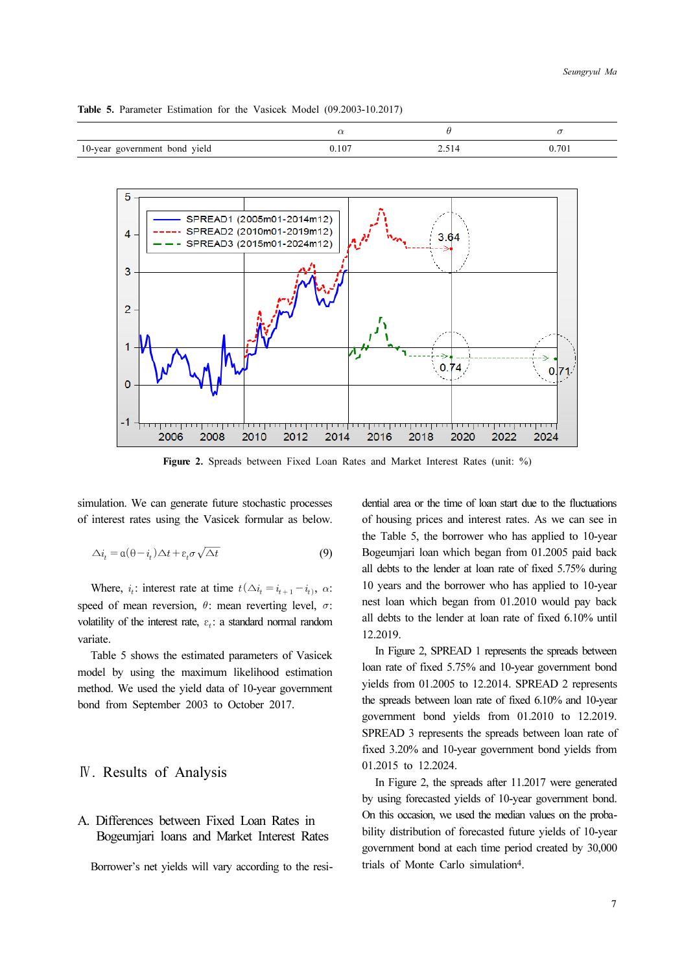| 10-year government bond yield | $0.10^{-}$ | 701 |
|-------------------------------|------------|-----|

Table 5. Parameter Estimation for the Vasicek Model (09.2003-10.2017)



Figure 2. Spreads between Fixed Loan Rates and Market Interest Rates (unit: %)

simulation. We can generate future stochastic processes of interest rates using the Vasicek formular as below.

$$
\Delta i_t = \mathfrak{a}(\theta - i_t) \Delta t + \varepsilon_t \sigma \sqrt{\Delta t} \tag{9}
$$

Where,  $i_t$ : interest rate at time  $t(\Delta i_t = i_{t+1} - i_t)$ ,  $\alpha$ : speed of mean reversion,  $\theta$ : mean reverting level,  $\sigma$ : volatility of the interest rate,  $\varepsilon_i$ : a standard normal random variate.

Table 5 shows the estimated parameters of Vasicek model by using the maximum likelihood estimation method. We used the yield data of 10-year government bond from September 2003 to October 2017.

## Ⅳ. Results of Analysis

# A. Differences between Fixed Loan Rates in Bogeumjari loans and Market Interest Rates

Borrower's net yields will vary according to the resi-

dential area or the time of loan start due to the fluctuations of housing prices and interest rates. As we can see in the Table 5, the borrower who has applied to 10-year Bogeumjari loan which began from 01.2005 paid back all debts to the lender at loan rate of fixed 5.75% during 10 years and the borrower who has applied to 10-year nest loan which began from 01.2010 would pay back all debts to the lender at loan rate of fixed 6.10% until 12.2019.

In Figure 2, SPREAD 1 represents the spreads between loan rate of fixed 5.75% and 10-year government bond yields from 01.2005 to 12.2014. SPREAD 2 represents the spreads between loan rate of fixed 6.10% and 10-year government bond yields from 01.2010 to 12.2019. SPREAD 3 represents the spreads between loan rate of fixed 3.20% and 10-year government bond yields from 01.2015 to 12.2024.

In Figure 2, the spreads after 11.2017 were generated by using forecasted yields of 10-year government bond. On this occasion, we used the median values on the probability distribution of forecasted future yields of 10-year government bond at each time period created by 30,000 trials of Monte Carlo simulation4.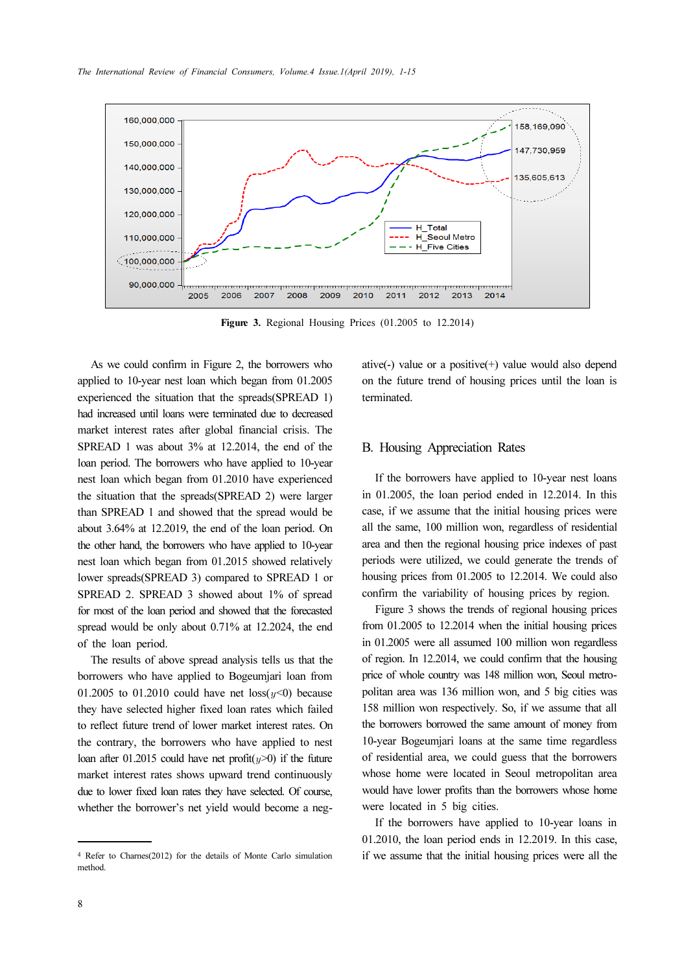

Figure 3. Regional Housing Prices (01.2005 to 12.2014)

As we could confirm in Figure 2, the borrowers who applied to 10-year nest loan which began from 01.2005 experienced the situation that the spreads(SPREAD 1) had increased until loans were terminated due to decreased market interest rates after global financial crisis. The SPREAD 1 was about 3% at 12.2014, the end of the loan period. The borrowers who have applied to 10-year nest loan which began from 01.2010 have experienced the situation that the spreads(SPREAD 2) were larger than SPREAD 1 and showed that the spread would be about 3.64% at 12.2019, the end of the loan period. On the other hand, the borrowers who have applied to 10-year nest loan which began from 01.2015 showed relatively lower spreads(SPREAD 3) compared to SPREAD 1 or SPREAD 2. SPREAD 3 showed about 1% of spread for most of the loan period and showed that the forecasted spread would be only about 0.71% at 12.2024, the end of the loan period.

The results of above spread analysis tells us that the borrowers who have applied to Bogeumjari loan from 01.2005 to 01.2010 could have net  $loss(y<0)$  because they have selected higher fixed loan rates which failed to reflect future trend of lower market interest rates. On the contrary, the borrowers who have applied to nest loan after 01.2015 could have net profit $(y>0)$  if the future market interest rates shows upward trend continuously due to lower fixed loan rates they have selected. Of course, whether the borrower's net yield would become a negative(-) value or a positive(+) value would also depend on the future trend of housing prices until the loan is terminated.

#### B. Housing Appreciation Rates

If the borrowers have applied to 10-year nest loans in 01.2005, the loan period ended in 12.2014. In this case, if we assume that the initial housing prices were all the same, 100 million won, regardless of residential area and then the regional housing price indexes of past periods were utilized, we could generate the trends of housing prices from 01.2005 to 12.2014. We could also confirm the variability of housing prices by region.

Figure 3 shows the trends of regional housing prices from 01.2005 to 12.2014 when the initial housing prices in 01.2005 were all assumed 100 million won regardless of region. In 12.2014, we could confirm that the housing price of whole country was 148 million won, Seoul metropolitan area was 136 million won, and 5 big cities was 158 million won respectively. So, if we assume that all the borrowers borrowed the same amount of money from 10-year Bogeumjari loans at the same time regardless of residential area, we could guess that the borrowers whose home were located in Seoul metropolitan area would have lower profits than the borrowers whose home were located in 5 big cities.

If the borrowers have applied to 10-year loans in 01.2010, the loan period ends in 12.2019. In this case, if we assume that the initial housing prices were all the

<sup>4</sup> Refer to Charnes(2012) for the details of Monte Carlo simulation method.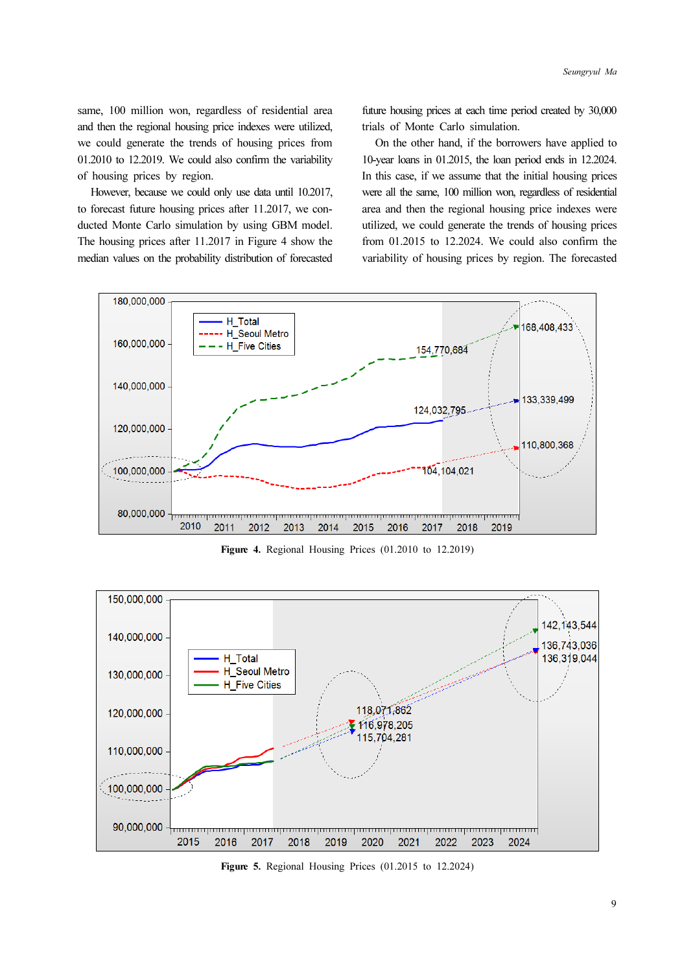same, 100 million won, regardless of residential area and then the regional housing price indexes were utilized, we could generate the trends of housing prices from 01.2010 to 12.2019. We could also confirm the variability of housing prices by region.

However, because we could only use data until 10.2017, to forecast future housing prices after 11.2017, we conducted Monte Carlo simulation by using GBM model. The housing prices after 11.2017 in Figure 4 show the median values on the probability distribution of forecasted future housing prices at each time period created by 30,000 trials of Monte Carlo simulation.

On the other hand, if the borrowers have applied to 10-year loans in 01.2015, the loan period ends in 12.2024. In this case, if we assume that the initial housing prices were all the same, 100 million won, regardless of residential area and then the regional housing price indexes were utilized, we could generate the trends of housing prices from 01.2015 to 12.2024. We could also confirm the variability of housing prices by region. The forecasted



Figure 4. Regional Housing Prices (01.2010 to 12.2019)



Figure 5. Regional Housing Prices (01.2015 to 12.2024)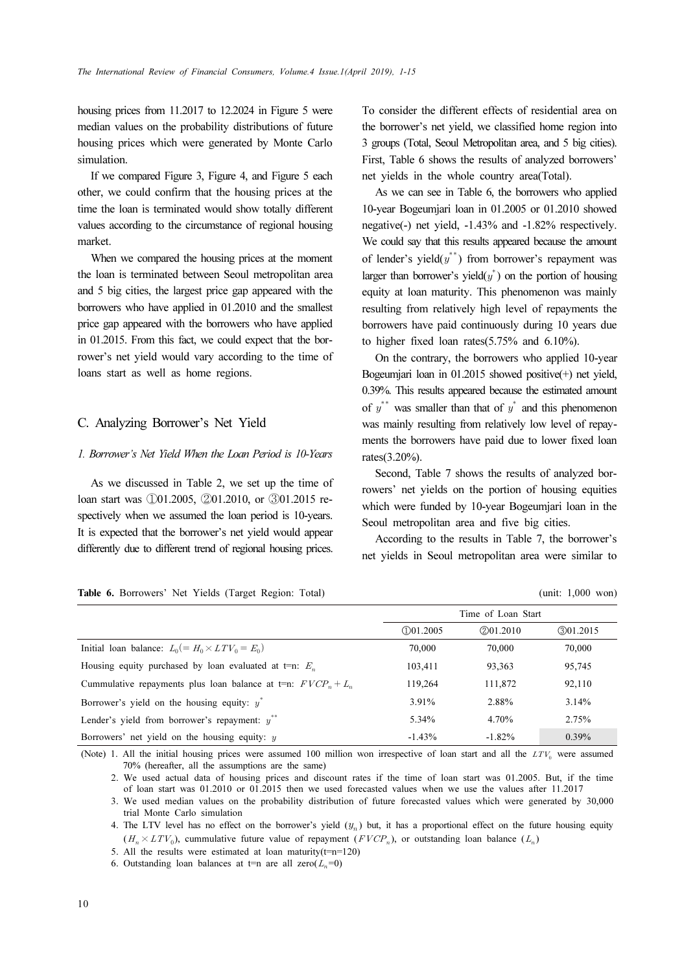housing prices from 11.2017 to 12.2024 in Figure 5 were median values on the probability distributions of future housing prices which were generated by Monte Carlo simulation.

If we compared Figure 3, Figure 4, and Figure 5 each other, we could confirm that the housing prices at the time the loan is terminated would show totally different values according to the circumstance of regional housing market.

When we compared the housing prices at the moment the loan is terminated between Seoul metropolitan area and 5 big cities, the largest price gap appeared with the borrowers who have applied in 01.2010 and the smallest price gap appeared with the borrowers who have applied in 01.2015. From this fact, we could expect that the borrower's net yield would vary according to the time of loans start as well as home regions.

### C. Analyzing Borrower's Net Yield

### 1. Borrower's Net Yield When the Loan Period is 10-Years

As we discussed in Table 2, we set up the time of loan start was ①01.2005, ②01.2010, or ③01.2015 respectively when we assumed the loan period is 10-years. It is expected that the borrower's net yield would appear differently due to different trend of regional housing prices.

|  |  | Table 6. Borrowers' Net Yields (Target Region: Total) |  |  |  |  |  |  |
|--|--|-------------------------------------------------------|--|--|--|--|--|--|
|--|--|-------------------------------------------------------|--|--|--|--|--|--|

To consider the different effects of residential area on the borrower's net yield, we classified home region into 3 groups (Total, Seoul Metropolitan area, and 5 big cities). First, Table 6 shows the results of analyzed borrowers' net yields in the whole country area(Total).

As we can see in Table 6, the borrowers who applied 10-year Bogeumjari loan in 01.2005 or 01.2010 showed negative(-) net yield, -1.43% and -1.82% respectively. We could say that this results appeared because the amount of lender's yield $(y^*)$  from borrower's repayment was larger than borrower's yield $(y^*)$  on the portion of housing equity at loan maturity. This phenomenon was mainly resulting from relatively high level of repayments the borrowers have paid continuously during 10 years due to higher fixed loan rates(5.75% and 6.10%).

On the contrary, the borrowers who applied 10-year Bogeumjari loan in 01.2015 showed positive(+) net yield, 0.39%. This results appeared because the estimated amount of  $y^*$  was smaller than that of  $y^*$  and this phenomenon was mainly resulting from relatively low level of repayments the borrowers have paid due to lower fixed loan rates(3.20%).

Second, Table 7 shows the results of analyzed borrowers' net yields on the portion of housing equities which were funded by 10-year Bogeumjari loan in the Seoul metropolitan area and five big cities.

According to the results in Table 7, the borrower's net yields in Seoul metropolitan area were similar to

| <b>Table 6.</b> Borrowers' Net Yields (Target Region: Total)    | (unit: $1,000$ won) |                    |            |
|-----------------------------------------------------------------|---------------------|--------------------|------------|
|                                                                 |                     | Time of Loan Start |            |
|                                                                 | (1)01.2005          | @01.2010           | (3)01.2015 |
| Initial loan balance: $L_0(=H_0 \times LTV_0 = E_0)$            | 70,000              | 70,000             | 70,000     |
| Housing equity purchased by loan evaluated at t=n: $E_n$        | 103,411             | 93,363             | 95,745     |
| Cummulative repayments plus loan balance at t=n: $FVCP_n + L_n$ | 119,264             | 111,872            | 92,110     |
| Borrower's yield on the housing equity: $y^*$                   | 3.91%               | 2.88%              | 3.14%      |
| Lender's yield from borrower's repayment: $y^{**}$              | 5.34%               | 4.70%              | 2.75%      |
| Borrowers' net yield on the housing equity: $\eta$              | $-1.43%$            | $-1.82%$           | 0.39%      |

(Note) 1. All the initial housing prices were assumed 100 million won irrespective of loan start and all the  $LTV_0$  were assumed 70% (hereafter, all the assumptions are the same)

2. We used actual data of housing prices and discount rates if the time of loan start was 01.2005. But, if the time of loan start was 01.2010 or 01.2015 then we used forecasted values when we use the values after 11.2017

3. We used median values on the probability distribution of future forecasted values which were generated by 30,000 trial Monte Carlo simulation

4. The LTV level has no effect on the borrower's yield  $(y_n)$  but, it has a proportional effect on the future housing equity  $(H_n \times LTV_0)$ , cummulative future value of repayment  $(FVCP_n)$ , or outstanding loan balance  $(L_n)$ 

5. All the results were estimated at loan maturity( $t=n=120$ )

6. Outstanding loan balances at t=n are all zero( $L_n=0$ )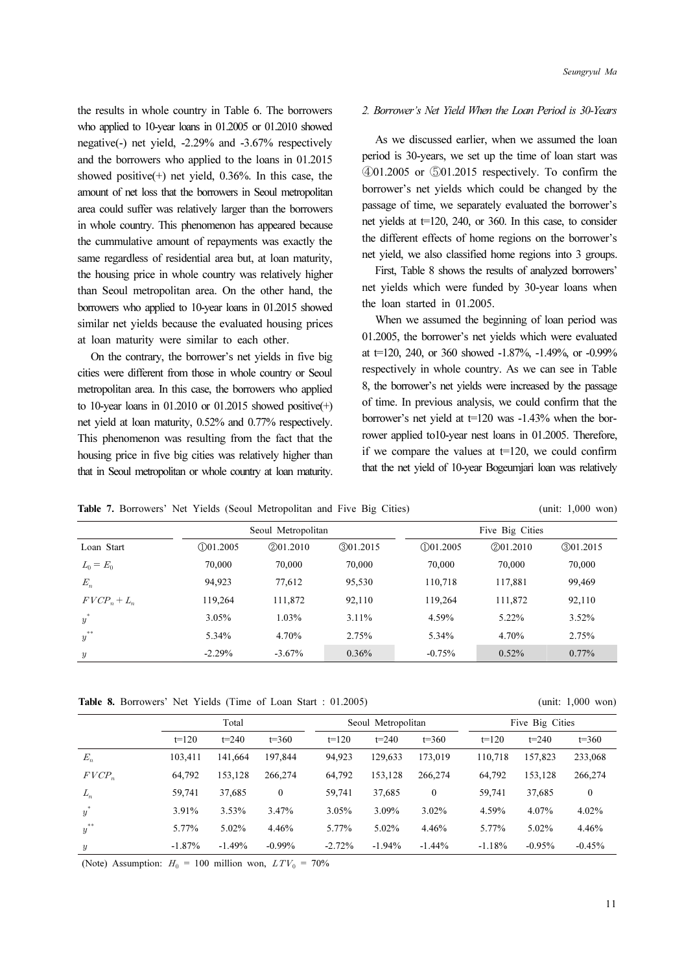the results in whole country in Table 6. The borrowers who applied to 10-year loans in 01.2005 or 01.2010 showed negative(-) net yield, -2.29% and -3.67% respectively and the borrowers who applied to the loans in 01.2015 showed positive $(+)$  net yield, 0.36%. In this case, the amount of net loss that the borrowers in Seoul metropolitan area could suffer was relatively larger than the borrowers in whole country. This phenomenon has appeared because the cummulative amount of repayments was exactly the same regardless of residential area but, at loan maturity, the housing price in whole country was relatively higher than Seoul metropolitan area. On the other hand, the borrowers who applied to 10-year loans in 01.2015 showed similar net yields because the evaluated housing prices at loan maturity were similar to each other.

On the contrary, the borrower's net yields in five big cities were different from those in whole country or Seoul metropolitan area. In this case, the borrowers who applied to 10-year loans in  $01.2010$  or  $01.2015$  showed positive(+) net yield at loan maturity, 0.52% and 0.77% respectively. This phenomenon was resulting from the fact that the housing price in five big cities was relatively higher than that in Seoul metropolitan or whole country at loan maturity.

#### 2. Borrower's Net Yield When the Loan Period is 30-Years

As we discussed earlier, when we assumed the loan period is 30-years, we set up the time of loan start was ④01.2005 or ⑤01.2015 respectively. To confirm the borrower's net yields which could be changed by the passage of time, we separately evaluated the borrower's net yields at  $t=120$ , 240, or 360. In this case, to consider the different effects of home regions on the borrower's net yield, we also classified home regions into 3 groups.

First, Table 8 shows the results of analyzed borrowers' net yields which were funded by 30-year loans when the loan started in 01.2005.

When we assumed the beginning of loan period was 01.2005, the borrower's net yields which were evaluated at t=120, 240, or 360 showed  $-1.87\%$ ,  $-1.49\%$ , or  $-0.99\%$ respectively in whole country. As we can see in Table 8, the borrower's net yields were increased by the passage of time. In previous analysis, we could confirm that the borrower's net yield at t=120 was -1.43% when the borrower applied to10-year nest loans in 01.2005. Therefore, if we compare the values at  $t=120$ , we could confirm that the net yield of 10-year Bogeumjari loan was relatively

Table 7. Borrowers' Net Yields (Seoul Metropolitan and Five Big Cities) (unit: 1,000 won)

|                |            | Seoul Metropolitan |          |            | Five Big Cities |            |
|----------------|------------|--------------------|----------|------------|-----------------|------------|
| Loan Start     | (1)01.2005 | @01.2010           | @01.2015 | (1)01.2005 | (2)01.2010      | (3)01.2015 |
| $L_0 = E_0$    | 70,000     | 70,000             | 70,000   | 70,000     | 70,000          | 70,000     |
| $E_n$          | 94.923     | 77.612             | 95,530   | 110.718    | 117,881         | 99,469     |
| $FVCP_n + L_n$ | 119,264    | 111.872            | 92.110   | 119,264    | 111,872         | 92,110     |
| $y^*$          | 3.05%      | 1.03%              | 3.11%    | 4.59%      | 5.22%           | 3.52%      |
| $y^{\ast\ast}$ | 5.34%      | 4.70%              | 2.75%    | 5.34%      | 4.70%           | 2.75%      |
| y              | $-2.29%$   | $-3.67\%$          | $0.36\%$ | $-0.75%$   | 0.52%           | $0.77\%$   |

Table 8. Borrowers' Net Yields (Time of Loan Start : 01.2005) (unit: 1,000 won)

|                | Total     |           |              |          | Seoul Metropolitan |              |          | Five Big Cities |              |  |
|----------------|-----------|-----------|--------------|----------|--------------------|--------------|----------|-----------------|--------------|--|
|                | $t = 120$ | $t = 240$ | $t = 360$    | $t=120$  | $t = 240$          | $t = 360$    | $t=120$  | $t = 240$       | $t = 360$    |  |
| $E_n$          | 103.411   | 141.664   | 197,844      | 94,923   | 129.633            | 173,019      | 110,718  | 157,823         | 233,068      |  |
| $FVCP_n$       | 64,792    | 153.128   | 266,274      | 64,792   | 153.128            | 266,274      | 64,792   | 153,128         | 266,274      |  |
| $L_n$          | 59,741    | 37,685    | $\mathbf{0}$ | 59,741   | 37,685             | $\mathbf{0}$ | 59.741   | 37,685          | $\mathbf{0}$ |  |
| $y^*$          | 3.91%     | 3.53%     | 3.47%        | 3.05%    | 3.09%              | $3.02\%$     | 4.59%    | 4.07%           | 4.02%        |  |
| $y^{\ast\ast}$ | 5.77%     | 5.02%     | 4.46%        | 5.77%    | 5.02%              | 4.46%        | 5.77%    | 5.02%           | 4.46%        |  |
| y              | $-1.87%$  | $-1.49%$  | $-0.99%$     | $-2.72%$ | $-1.94%$           | $-1.44%$     | $-1.18%$ | $-0.95%$        | $-0.45%$     |  |

(Note) Assumption:  $H_0 = 100$  million won,  $LTV_0 = 70\%$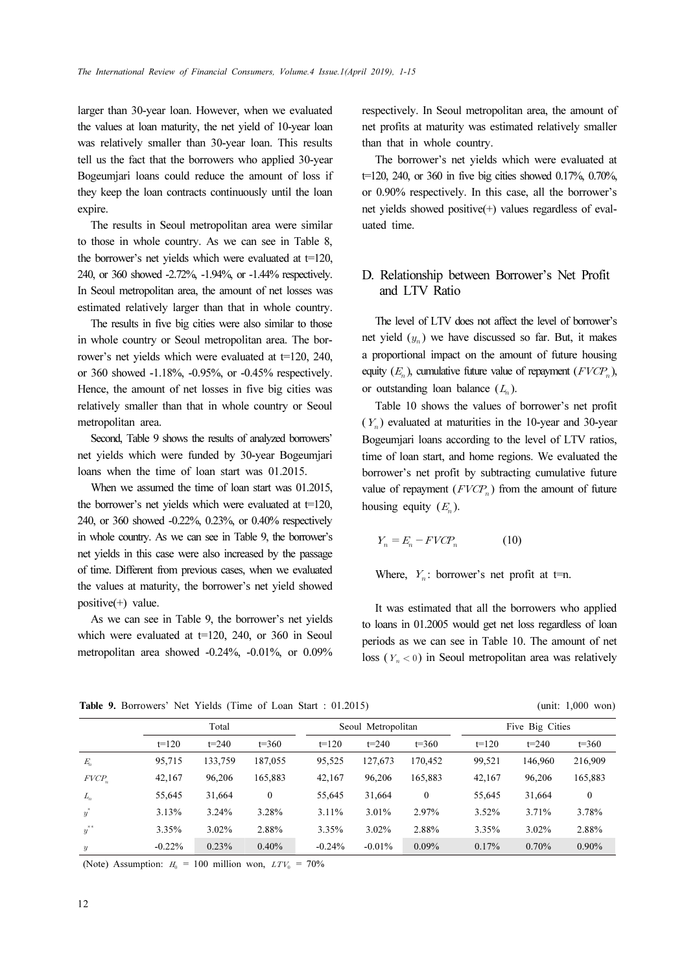larger than 30-year loan. However, when we evaluated the values at loan maturity, the net yield of 10-year loan was relatively smaller than 30-year loan. This results tell us the fact that the borrowers who applied 30-year Bogeumjari loans could reduce the amount of loss if they keep the loan contracts continuously until the loan expire.

The results in Seoul metropolitan area were similar to those in whole country. As we can see in Table 8, the borrower's net yields which were evaluated at t=120, 240, or 360 showed -2.72%, -1.94%, or -1.44% respectively. In Seoul metropolitan area, the amount of net losses was estimated relatively larger than that in whole country.

The results in five big cities were also similar to those in whole country or Seoul metropolitan area. The borrower's net yields which were evaluated at  $t=120$ , 240, or 360 showed -1.18%, -0.95%, or -0.45% respectively. Hence, the amount of net losses in five big cities was relatively smaller than that in whole country or Seoul metropolitan area.

Second, Table 9 shows the results of analyzed borrowers' net yields which were funded by 30-year Bogeumjari loans when the time of loan start was 01.2015.

When we assumed the time of loan start was 01.2015, the borrower's net yields which were evaluated at  $t=120$ , 240, or 360 showed -0.22%, 0.23%, or 0.40% respectively in whole country. As we can see in Table 9, the borrower's net yields in this case were also increased by the passage of time. Different from previous cases, when we evaluated the values at maturity, the borrower's net yield showed positive(+) value.

As we can see in Table 9, the borrower's net yields which were evaluated at  $t=120$ , 240, or 360 in Seoul metropolitan area showed -0.24%, -0.01%, or 0.09% respectively. In Seoul metropolitan area, the amount of net profits at maturity was estimated relatively smaller than that in whole country.

The borrower's net yields which were evaluated at t=120, 240, or 360 in five big cities showed 0.17%, 0.70%, or 0.90% respectively. In this case, all the borrower's net yields showed positive(+) values regardless of evaluated time.

### D. Relationship between Borrower's Net Profit and LTV Ratio

The level of LTV does not affect the level of borrower's net yield  $(y_n)$  we have discussed so far. But, it makes a proportional impact on the amount of future housing equity  $(E_n)$ , cumulative future value of repayment  $(FVCP_n)$ , or outstanding loan balance  $(L_n)$ .

Table 10 shows the values of borrower's net profit  $(Y_n)$  evaluated at maturities in the 10-year and 30-year Bogeumjari loans according to the level of LTV ratios, time of loan start, and home regions. We evaluated the borrower's net profit by subtracting cumulative future value of repayment  $(FVCP_n)$  from the amount of future housing equity  $(E_n)$ .

$$
Y_n = E_n - FVCP_n \tag{10}
$$

Where,  $Y_n$ : borrower's net profit at t=n.

It was estimated that all the borrowers who applied to loans in 01.2005 would get net loss regardless of loan periods as we can see in Table 10. The amount of net loss ( $Y_n < 0$ ) in Seoul metropolitan area was relatively

Table 9. Borrowers' Net Yields (Time of Loan Start : 01.2015) (unit: 1,000 won)

|                  |          | Total     |              |          | Seoul Metropolitan |              |         | Five Big Cities |              |  |  |
|------------------|----------|-----------|--------------|----------|--------------------|--------------|---------|-----------------|--------------|--|--|
|                  | $t=120$  | $t = 240$ | $t = 360$    | $t=120$  | $t = 240$          | $t = 360$    | $t=120$ | $t = 240$       | $t = 360$    |  |  |
| $E_n$            | 95,715   | 133,759   | 187,055      | 95.525   | 127,673            | 170.452      | 99.521  | 146,960         | 216,909      |  |  |
| $FVCP_n$         | 42,167   | 96.206    | 165,883      | 42.167   | 96.206             | 165,883      | 42,167  | 96,206          | 165,883      |  |  |
| $L_n$            | 55.645   | 31.664    | $\mathbf{0}$ | 55,645   | 31.664             | $\mathbf{0}$ | 55,645  | 31,664          | $\mathbf{0}$ |  |  |
| $\boldsymbol{y}$ | 3.13%    | 3.24%     | 3.28%        | 3.11%    | 3.01%              | 2.97%        | 3.52%   | 3.71%           | 3.78%        |  |  |
| $y^{\ast\ast}$   | 3.35%    | $3.02\%$  | 2.88%        | 3.35%    | 3.02%              | 2.88%        | 3.35%   | 3.02%           | 2.88%        |  |  |
| $\boldsymbol{y}$ | $-0.22%$ | 0.23%     | 0.40%        | $-0.24%$ | $-0.01%$           | $0.09\%$     | 0.17%   | 0.70%           | $0.90\%$     |  |  |

(Note) Assumption:  $H_0 = 100$  million won,  $LTV_0 = 70\%$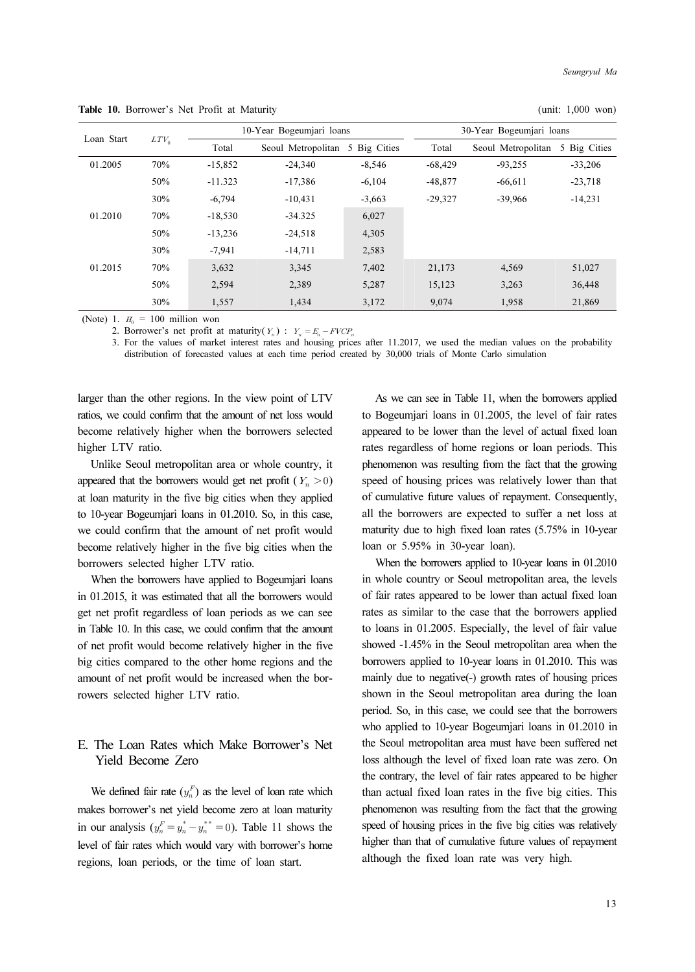| Loan Start |         |           | 10-Year Bogeumjari loans        |          |           | 30-Year Bogeumjari loans |              |
|------------|---------|-----------|---------------------------------|----------|-----------|--------------------------|--------------|
|            | $LTV_0$ | Total     | Seoul Metropolitan 5 Big Cities |          | Total     | Seoul Metropolitan       | 5 Big Cities |
| 01.2005    | 70%     | $-15,852$ | $-24.340$                       | $-8.546$ | $-68,429$ | $-93,255$                | $-33,206$    |
|            | 50%     | $-11.323$ | $-17,386$                       | $-6.104$ | $-48,877$ | $-66,611$                | $-23,718$    |
|            | 30%     | $-6.794$  | $-10,431$                       | $-3,663$ | $-29,327$ | $-39.966$                | $-14,231$    |
| 01.2010    | 70%     | $-18,530$ | $-34.325$                       | 6,027    |           |                          |              |
|            | 50%     | $-13,236$ | $-24,518$                       | 4,305    |           |                          |              |
|            | 30%     | $-7.941$  | $-14,711$                       | 2,583    |           |                          |              |
| 01.2015    | 70%     | 3,632     | 3,345                           | 7,402    | 21,173    | 4,569                    | 51,027       |
|            | 50%     | 2,594     | 2,389                           | 5,287    | 15,123    | 3,263                    | 36,448       |
|            | 30%     | 1.557     | 1.434                           | 3.172    | 9.074     | 1.958                    | 21.869       |

Table 10. Borrower's Net Profit at Maturity (unit: 1,000 won)

(Note) 1.  $H_0 = 100$  million won

2. Borrower's net profit at maturity( $Y_n$ ) :  $Y_n = E_n - FVCP_n$ 

3. For the values of market interest rates and housing prices after 11.2017, we used the median values on the probability distribution of forecasted values at each time period created by 30,000 trials of Monte Carlo simulation

larger than the other regions. In the view point of LTV ratios, we could confirm that the amount of net loss would become relatively higher when the borrowers selected higher LTV ratio.

Unlike Seoul metropolitan area or whole country, it appeared that the borrowers would get net profit ( $Y_n > 0$ ) at loan maturity in the five big cities when they applied to 10-year Bogeumjari loans in 01.2010. So, in this case, we could confirm that the amount of net profit would become relatively higher in the five big cities when the borrowers selected higher LTV ratio.

When the borrowers have applied to Bogeumjari loans in 01.2015, it was estimated that all the borrowers would get net profit regardless of loan periods as we can see in Table 10. In this case, we could confirm that the amount of net profit would become relatively higher in the five big cities compared to the other home regions and the amount of net profit would be increased when the borrowers selected higher LTV ratio.

### E. The Loan Rates which Make Borrower's Net Yield Become Zero

We defined fair rate  $(y_n^F)$  as the level of loan rate which makes borrower's net yield become zero at loan maturity in our analysis  $(y_n^F = y_n^* - y_n^{**} = 0)$ . Table 11 shows the level of fair rates which would vary with borrower's home regions, loan periods, or the time of loan start.

As we can see in Table 11, when the borrowers applied to Bogeumjari loans in 01.2005, the level of fair rates appeared to be lower than the level of actual fixed loan rates regardless of home regions or loan periods. This phenomenon was resulting from the fact that the growing speed of housing prices was relatively lower than that of cumulative future values of repayment. Consequently, all the borrowers are expected to suffer a net loss at maturity due to high fixed loan rates (5.75% in 10-year loan or 5.95% in 30-year loan).

When the borrowers applied to 10-year loans in 01.2010 in whole country or Seoul metropolitan area, the levels of fair rates appeared to be lower than actual fixed loan rates as similar to the case that the borrowers applied to loans in 01.2005. Especially, the level of fair value showed -1.45% in the Seoul metropolitan area when the borrowers applied to 10-year loans in 01.2010. This was mainly due to negative(-) growth rates of housing prices shown in the Seoul metropolitan area during the loan period. So, in this case, we could see that the borrowers who applied to 10-year Bogeumjari loans in 01.2010 in the Seoul metropolitan area must have been suffered net loss although the level of fixed loan rate was zero. On the contrary, the level of fair rates appeared to be higher than actual fixed loan rates in the five big cities. This phenomenon was resulting from the fact that the growing speed of housing prices in the five big cities was relatively higher than that of cumulative future values of repayment although the fixed loan rate was very high.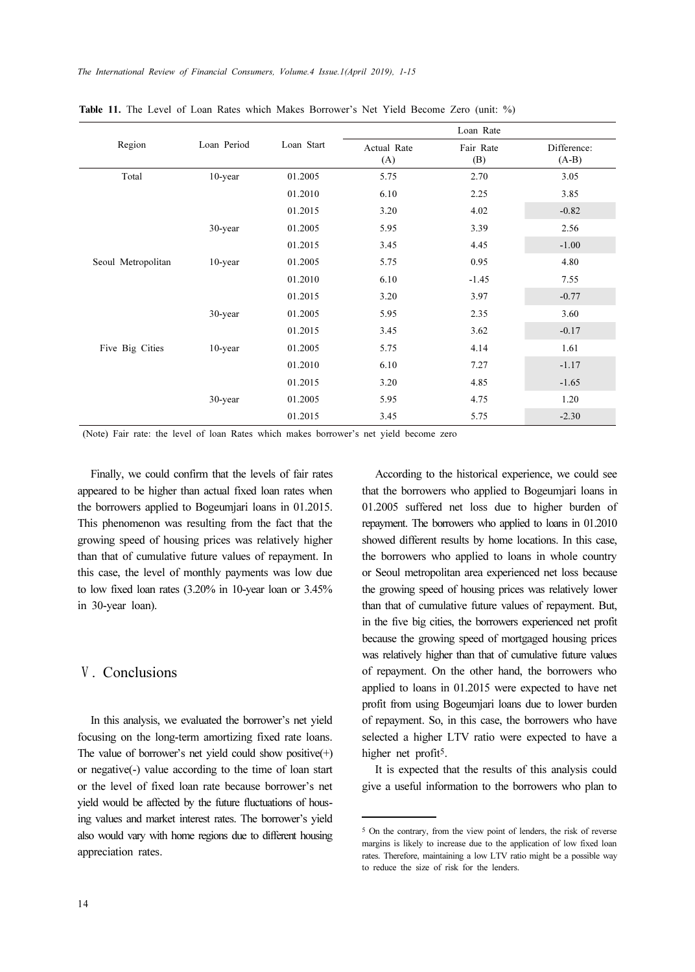|                    | Loan Period | Loan Start | Loan Rate          |                  |                        |
|--------------------|-------------|------------|--------------------|------------------|------------------------|
| Region             |             |            | Actual Rate<br>(A) | Fair Rate<br>(B) | Difference:<br>$(A-B)$ |
| Total              | 10-year     | 01.2005    | 5.75               | 2.70             | 3.05                   |
|                    |             | 01.2010    | 6.10               | 2.25             | 3.85                   |
|                    |             | 01.2015    | 3.20               | 4.02             | $-0.82$                |
|                    | 30-year     | 01.2005    | 5.95               | 3.39             | 2.56                   |
|                    |             | 01.2015    | 3.45               | 4.45             | $-1.00$                |
| Seoul Metropolitan | 10-year     | 01.2005    | 5.75               | 0.95             | 4.80                   |
|                    |             | 01.2010    | 6.10               | $-1.45$          | 7.55                   |
|                    |             | 01.2015    | 3.20               | 3.97             | $-0.77$                |
|                    | 30-year     | 01.2005    | 5.95               | 2.35             | 3.60                   |
|                    |             | 01.2015    | 3.45               | 3.62             | $-0.17$                |
| Five Big Cities    | 10-year     | 01.2005    | 5.75               | 4.14             | 1.61                   |
|                    |             | 01.2010    | 6.10               | 7.27             | $-1.17$                |
|                    |             | 01.2015    | 3.20               | 4.85             | $-1.65$                |
|                    | 30-year     | 01.2005    | 5.95               | 4.75             | 1.20                   |
|                    |             | 01.2015    | 3.45               | 5.75             | $-2.30$                |

Table 11. The Level of Loan Rates which Makes Borrower's Net Yield Become Zero (unit: %)

(Note) Fair rate: the level of loan Rates which makes borrower's net yield become zero

Finally, we could confirm that the levels of fair rates appeared to be higher than actual fixed loan rates when the borrowers applied to Bogeumjari loans in 01.2015. This phenomenon was resulting from the fact that the growing speed of housing prices was relatively higher than that of cumulative future values of repayment. In this case, the level of monthly payments was low due to low fixed loan rates (3.20% in 10-year loan or 3.45% in 30-year loan).

# Ⅴ. Conclusions

In this analysis, we evaluated the borrower's net yield focusing on the long-term amortizing fixed rate loans. The value of borrower's net yield could show positive $(+)$ or negative(-) value according to the time of loan start or the level of fixed loan rate because borrower's net yield would be affected by the future fluctuations of housing values and market interest rates. The borrower's yield also would vary with home regions due to different housing appreciation rates.

According to the historical experience, we could see that the borrowers who applied to Bogeumjari loans in 01.2005 suffered net loss due to higher burden of repayment. The borrowers who applied to loans in 01.2010 showed different results by home locations. In this case, the borrowers who applied to loans in whole country or Seoul metropolitan area experienced net loss because the growing speed of housing prices was relatively lower than that of cumulative future values of repayment. But, in the five big cities, the borrowers experienced net profit because the growing speed of mortgaged housing prices was relatively higher than that of cumulative future values of repayment. On the other hand, the borrowers who applied to loans in 01.2015 were expected to have net profit from using Bogeumjari loans due to lower burden of repayment. So, in this case, the borrowers who have selected a higher LTV ratio were expected to have a higher net profit<sup>5</sup>.

It is expected that the results of this analysis could give a useful information to the borrowers who plan to

<sup>5</sup> On the contrary, from the view point of lenders, the risk of reverse margins is likely to increase due to the application of low fixed loan rates. Therefore, maintaining a low LTV ratio might be a possible way to reduce the size of risk for the lenders.